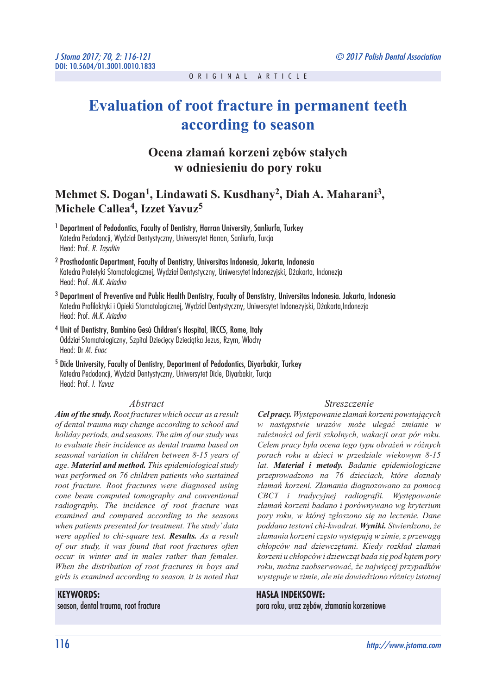# **Evaluation of root fracture in permanent teeth according to season**

## **Ocena złamań korzeni zębów stałych w odniesieniu do pory roku**

### **Mehmet S. Dogan1, Lindawati S. Kusdhany2, Diah A. Maharani3 , Michele Callea4, Izzet Yavuz5**

- <sup>1</sup> Department of Pedodontics, Faculty of Dentistry, Harran University, Sanliurfa, Turkey Katedra Pedodoncji, Wydział Dentystyczny, Uniwersytet Harran, Sanliurfa, Turcja Head: Prof. *R. Taşaltin*
- 2 Prosthodontic Department, Faculty of Dentistry, Universitas Indonesia, Jakarta, Indonesia Katedra Protetyki Stomatologicznej, Wydział Dentystyczny, Uniwersytet Indonezyjski, Dżakarta, Indonezja Head: Prof. *M.K. Ariadno*
- 3 Department of Preventive and Public Health Dentistry, Faculty of Denstistry, Universitas Indonesia. Jakarta, Indonesia Katedra Profilaktyki i Opieki Stomatologicznej, Wydział Dentystyczny, Uniwersytet Indonezyjski, Dżakarta,Indonezja Head: Prof. *M.K. Ariadno*
- <sup>4</sup> Unit of Dentistry, Bambino Gesů Children's Hospital, IRCCS, Rome, Italy Oddział Stomatologiczny, Szpital Dziecięcy Dzieciątka Jezus, Rzym, Włochy Head: Dr *M. Enoc*
- 5 Dicle University, Faculty of Dentistry, Department of Pedodontics, Diyarbakir, Turkey Katedra Pedodoncji, Wydział Dentystyczny, Uniwersytet Dicle, Diyarbakir, Turcja Head: Prof. *I. Yavuz*

#### *Abstract*

*Aim of the study. Root fractures which occur as a result of dental trauma may change according to school and holiday periods, and seasons. The aim of our study was to evaluate their incidence as dental trauma based on seasonal variation in children between 8-15 years of age. Material and method. This epidemiological study was performed on 76 children patients who sustained root fracture. Root fractures were diagnosed using cone beam computed tomography and conventional radiography. The incidence of root fracture was examined and compared according to the seasons when patients presented for treatment. The study' data were applied to chi-square test. Results. As a result of our study, it was found that root fractures often occur in winter and in males rather than females. When the distribution of root fractures in boys and girls is examined according to season, it is noted that* 

#### **KEYWORDS:**

season, dental trauma, root fracture

#### *Streszczenie*

*Cel pracy. Występowanie złamań korzeni powstających w następstwie urazów może ulegać zmianie w zależności od ferii szkolnych, wakacji oraz pór roku. Celem pracy była ocena tego typu obrażeń w różnych porach roku u dzieci w przedziale wiekowym 8-15 lat. Materiał i metody. Badanie epidemiologiczne przeprowadzono na 76 dzieciach, które doznały złamań korzeni. Złamania diagnozowano za pomocą CBCT i tradycyjnej radiografii. Występowanie złamań korzeni badano i porównywano wg kryterium pory roku, w której zgłoszono się na leczenie. Dane poddano testowi chi-kwadrat. Wyniki. Stwierdzono, że złamania korzeni często występują w zimie, z przewagą chłopców nad dziewczętami. Kiedy rozkład złamań korzeni u chłopców i dziewcząt bada się pod kątem pory roku, można zaobserwować, że najwięcej przypadków występuje w zimie, ale nie dowiedziono różnicy istotnej* 

#### **HASŁA INDEKSOWE:**

pora roku, uraz zębów, złamania korzeniowe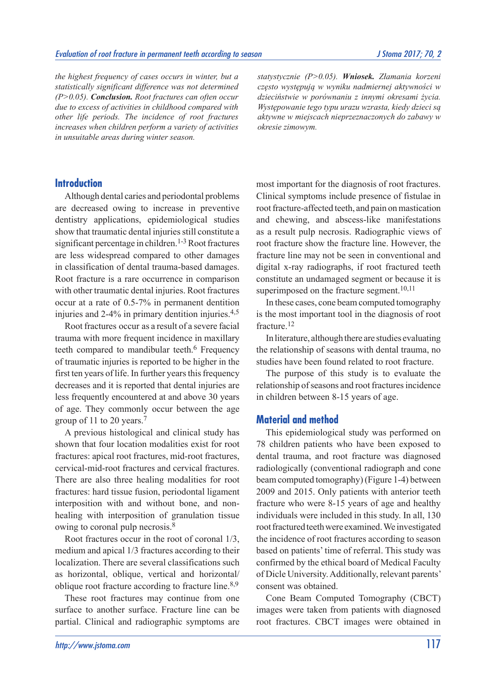*the highest frequency of cases occurs in winter, but a statistically significant difference was not determined (P>0.05). Conclusion. Root fractures can often occur due to excess of activities in childhood compared with other life periods. The incidence of root fractures increases when children perform a variety of activities in unsuitable areas during winter season.*

*statystycznie (P>0.05). Wniosek. Złamania korzeni często występują w wyniku nadmiernej aktywności w dzieciństwie w porównaniu z innymi okresami życia. Występowanie tego typu urazu wzrasta, kiedy dzieci są aktywne w miejscach nieprzeznaczonych do zabawy w okresie zimowym.*

#### **Introduction**

Although dental caries and periodontal problems are decreased owing to increase in preventive dentistry applications, epidemiological studies show that traumatic dental injuries still constitute a significant percentage in children.<sup>1-3</sup> Root fractures are less widespread compared to other damages in classification of dental trauma-based damages. Root fracture is a rare occurrence in comparison with other traumatic dental injuries. Root fractures occur at a rate of 0.5-7% in permanent dentition injuries and 2-4% in primary dentition injuries.4,5

Root fractures occur as a result of a severe facial trauma with more frequent incidence in maxillary teeth compared to mandibular teeth.<sup>6</sup> Frequency of traumatic injuries is reported to be higher in the first ten years of life. In further years this frequency decreases and it is reported that dental injuries are less frequently encountered at and above 30 years of age. They commonly occur between the age group of 11 to 20 years.7

A previous histological and clinical study has shown that four location modalities exist for root fractures: apical root fractures, mid-root fractures, cervical-mid-root fractures and cervical fractures. There are also three healing modalities for root fractures: hard tissue fusion, periodontal ligament interposition with and without bone, and nonhealing with interposition of granulation tissue owing to coronal pulp necrosis.8

Root fractures occur in the root of coronal 1/3, medium and apical 1/3 fractures according to their localization. There are several classifications such as horizontal, oblique, vertical and horizontal/ oblique root fracture according to fracture line.<sup>8,9</sup>

These root fractures may continue from one surface to another surface. Fracture line can be partial. Clinical and radiographic symptoms are most important for the diagnosis of root fractures. Clinical symptoms include presence of fistulae in root fracture-affected teeth, and pain on mastication and chewing, and abscess-like manifestations as a result pulp necrosis. Radiographic views of root fracture show the fracture line. However, the fracture line may not be seen in conventional and digital x-ray radiographs, if root fractured teeth constitute an undamaged segment or because it is superimposed on the fracture segment.<sup>10,11</sup>

In these cases, cone beam computed tomography is the most important tool in the diagnosis of root fracture.12

In literature, although there are studies evaluating the relationship of seasons with dental trauma, no studies have been found related to root fracture.

The purpose of this study is to evaluate the relationship of seasons and root fractures incidence in children between 8-15 years of age.

#### **Material and method**

This epidemiological study was performed on 78 children patients who have been exposed to dental trauma, and root fracture was diagnosed radiologically (conventional radiograph and cone beam computed tomography) (Figure 1-4) between 2009 and 2015. Only patients with anterior teeth fracture who were 8-15 years of age and healthy individuals were included in this study. In all, 130 root fractured teeth were examined. We investigated the incidence of root fractures according to season based on patients' time of referral. This study was confirmed by the ethical board of Medical Faculty of Dicle University. Additionally, relevant parents' consent was obtained.

Cone Beam Computed Tomography (CBCT) images were taken from patients with diagnosed root fractures. CBCT images were obtained in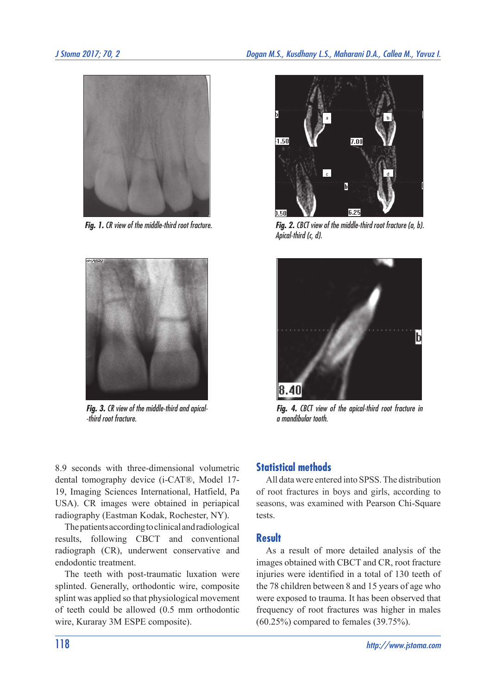



*Fig. 3. CR view of the middle-third and apical- -third root fracture.*



*Fig. 1. CR view of the middle-third root fracture. Fig. 2. CBCT view of the middle-third root fracture (a, b). Apical-third (c, d).*



*Fig. 4. CBCT view of the apical-third root fracture in a mandibular tooth.* 

8.9 seconds with three-dimensional volumetric dental tomography device (i-CAT®, Model 17- 19, Imaging Sciences International, Hatfield, Pa USA). CR images were obtained in periapical radiography (Eastman Kodak, Rochester, NY).

The patients according to clinical and radiological results, following CBCT and conventional radiograph (CR), underwent conservative and endodontic treatment.

The teeth with post-traumatic luxation were splinted. Generally, orthodontic wire, composite splint was applied so that physiological movement of teeth could be allowed (0.5 mm orthodontic wire, Kuraray 3M ESPE composite).

### **Statistical methods**

All data were entered into SPSS. The distribution of root fractures in boys and girls, according to seasons, was examined with Pearson Chi-Square tests.

#### **Result**

As a result of more detailed analysis of the images obtained with CBCT and CR, root fracture injuries were identified in a total of 130 teeth of the 78 children between 8 and 15 years of age who were exposed to trauma. It has been observed that frequency of root fractures was higher in males (60.25%) compared to females (39.75%).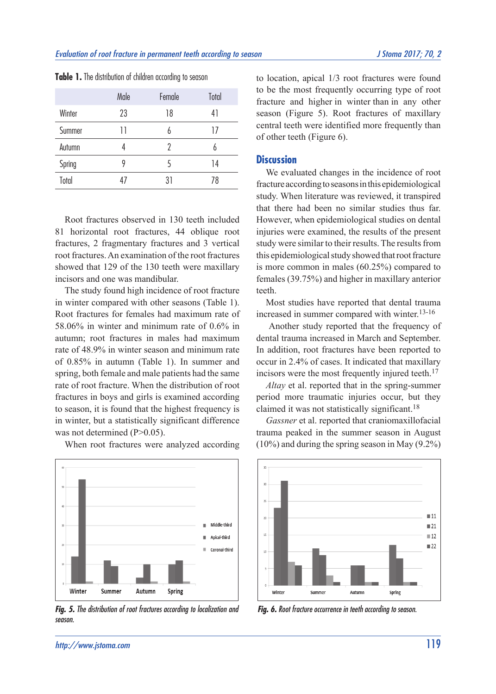|        | Male | Female | Total |
|--------|------|--------|-------|
| Winter | 23   | 18     | 41    |
| Summer | Н    | 6      | 17    |
| Autumn |      | 2      | h     |
| Spring | 9    | 5      | 14    |
| Total  | 41   | 31     | 78    |

**Table 1.** The distribution of children according to season

Root fractures observed in 130 teeth included 81 horizontal root fractures, 44 oblique root fractures, 2 fragmentary fractures and 3 vertical root fractures. An examination of the root fractures showed that 129 of the 130 teeth were maxillary incisors and one was mandibular.

The study found high incidence of root fracture in winter compared with other seasons (Table 1). Root fractures for females had maximum rate of 58.06% in winter and minimum rate of 0.6% in autumn; root fractures in males had maximum rate of 48.9% in winter season and minimum rate of 0.85% in autumn (Table 1). In summer and spring, both female and male patients had the same rate of root fracture. When the distribution of root fractures in boys and girls is examined according to season, it is found that the highest frequency is in winter, but a statistically significant difference was not determined (P>0.05).

When root fractures were analyzed according



*Fig. 5. The distribution of root fractures according to localization and season.*

to location, apical 1/3 root fractures were found to be the most frequently occurring type of root fracture and higher in winter than in any other season (Figure 5). Root fractures of maxillary central teeth were identified more frequently than of other teeth (Figure 6).

#### **Discussion**

We evaluated changes in the incidence of root fracture according to seasons in this epidemiological study. When literature was reviewed, it transpired that there had been no similar studies thus far. However, when epidemiological studies on dental injuries were examined, the results of the present study were similar to their results. The results from this epidemiological study showed that root fracture is more common in males (60.25%) compared to females (39.75%) and higher in maxillary anterior teeth.

Most studies have reported that dental trauma increased in summer compared with winter.13-16

 Another study reported that the frequency of dental trauma increased in March and September. In addition, root fractures have been reported to occur in 2.4% of cases. It indicated that maxillary incisors were the most frequently injured teeth.<sup>17</sup>

*Altay* et al. reported that in the spring-summer period more traumatic injuries occur, but they claimed it was not statistically significant.18

*Gassner* et al. reported that craniomaxillofacial trauma peaked in the summer season in August (10%) and during the spring season in May (9.2%)



*Fig. 6. Root fracture occurrence in teeth according to season.*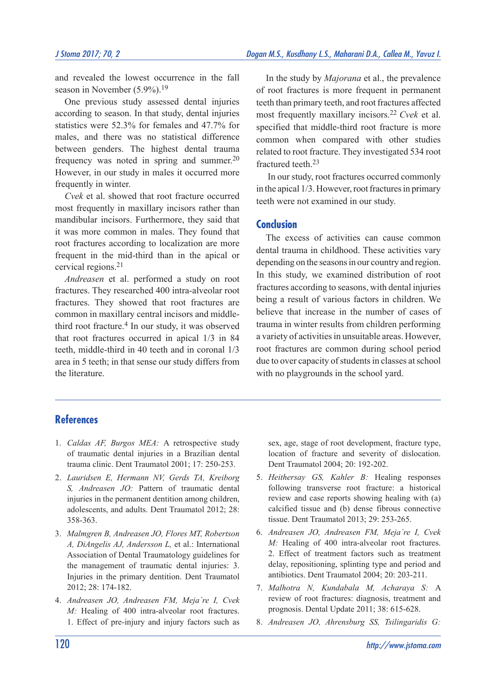and revealed the lowest occurrence in the fall season in November (5.9%).<sup>19</sup>

One previous study assessed dental injuries according to season. In that study, dental injuries statistics were 52.3% for females and 47.7% for males, and there was no statistical difference between genders. The highest dental trauma frequency was noted in spring and summer.<sup>20</sup> However, in our study in males it occurred more frequently in winter.

*Cvek* et al. showed that root fracture occurred most frequently in maxillary incisors rather than mandibular incisors. Furthermore, they said that it was more common in males. They found that root fractures according to localization are more frequent in the mid-third than in the apical or cervical regions.21

*Andreasen* et al. performed a study on root fractures. They researched 400 intra-alveolar root fractures. They showed that root fractures are common in maxillary central incisors and middlethird root fracture.4 In our study, it was observed that root fractures occurred in apical 1/3 in 84 teeth, middle-third in 40 teeth and in coronal 1/3 area in 5 teeth; in that sense our study differs from the literature.

In the study by *Majorana* et al., the prevalence of root fractures is more frequent in permanent teeth than primary teeth, and root fractures affected most frequently maxillary incisors.22 *Cvek* et al. specified that middle-third root fracture is more common when compared with other studies related to root fracture. They investigated 534 root fractured teeth.23

 In our study, root fractures occurred commonly in the apical 1/3. However, root fractures in primary teeth were not examined in our study.

#### **Conclusion**

The excess of activities can cause common dental trauma in childhood. These activities vary depending on the seasons in our country and region. In this study, we examined distribution of root fractures according to seasons, with dental injuries being a result of various factors in children. We believe that increase in the number of cases of trauma in winter results from children performing a variety of activities in unsuitable areas. However, root fractures are common during school period due to over capacity of students in classes at school with no playgrounds in the school yard.

#### **References**

- 1. *Caldas AF, Burgos MEA:* A retrospective study of traumatic dental injuries in a Brazilian dental trauma clinic. Dent Traumatol 2001; 17: 250-253.
- 2. *Lauridsen E, Hermann NV, Gerds TA, Kreiborg S, Andreasen JO:* Pattern of traumatic dental injuries in the permanent dentition among children, adolescents, and adults. Dent Traumatol 2012; 28: 358-363.
- 3. *Malmgren B, Andreasen JO, Flores MT, Robertson A, DiAngelis AJ, Andersson L,* et al.: International Association of Dental Traumatology guidelines for the management of traumatic dental injuries: 3. Injuries in the primary dentition. Dent Traumatol 2012; 28: 174-182.
- 4. *Andreasen JO, Andreasen FM, Meja`re I, Cvek M:* Healing of 400 intra-alveolar root fractures. 1. Effect of pre-injury and injury factors such as

sex, age, stage of root development, fracture type, location of fracture and severity of dislocation. Dent Traumatol 2004; 20: 192-202.

- 5. *Heithersay GS, Kahler B:* Healing responses following transverse root fracture: a historical review and case reports showing healing with (a) calcified tissue and (b) dense fibrous connective tissue. Dent Traumatol 2013; 29: 253-265.
- 6. *Andreasen JO, Andreasen FM, Meja`re I, Cvek M:* Healing of 400 intra-alveolar root fractures. 2. Effect of treatment factors such as treatment delay, repositioning, splinting type and period and antibiotics. Dent Traumatol 2004; 20: 203-211.
- 7. *Malhotra N, Kundabala M, Acharaya S:* A review of root fractures: diagnosis, treatment and prognosis. Dental Update 2011; 38: 615-628.
- 8. *Andreasen JO, Ahrensburg SS, Tsilingaridis G:*